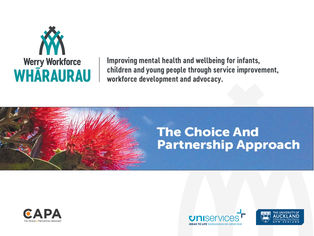

Improving mental health and wellbeing for infants, children and young people through service improvement, workforce development and advocacy.

# **The Choice And Partnership Approach**





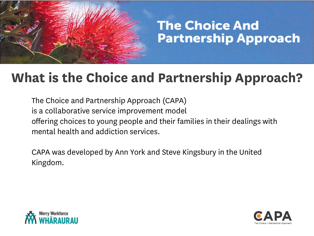#### **What is the Choice and Partnership Approach?**

The Choice and Partnership Approach (CAPA) is a collaborative service improvement model offering choices to young people and their families in their dealings with mental health and addiction services.

CAPA was developed by Ann York and Steve Kingsbury in the United Kingdom.



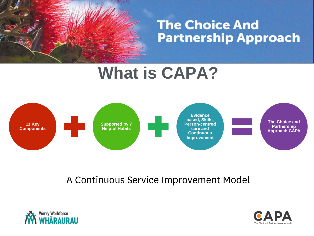# **What is CAPA?**



#### A Continuous Service Improvement Model



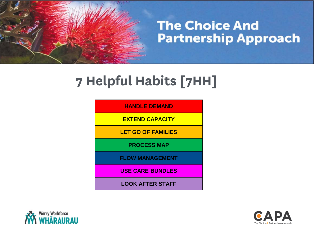#### **7 Helpful Habits [7HH]**

**HANDLE DEMAND** 

**EXTEND CAPACITY**

**LET GO OF FAMILIES**

**PROCESS MAP**

**FLOW MANAGEMENT**

**USE CARE BUNDLES**

**LOOK AFTER STAFF**



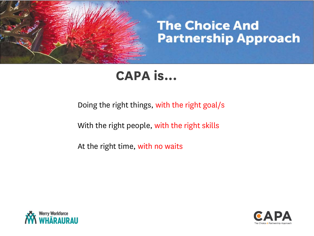

#### **CAPA is...**

Doing the right things, with the right goal/s

With the right people, with the right skills

At the right time, with no waits



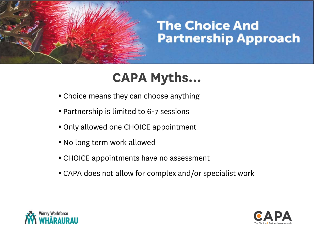## **CAPA Myths…**

- Choice means they can choose anything
- Partnership is limited to 6-7 sessions
- Only allowed one CHOICE appointment
- No long term work allowed
- CHOICE appointments have no assessment
- CAPA does not allow for complex and/or specialist work



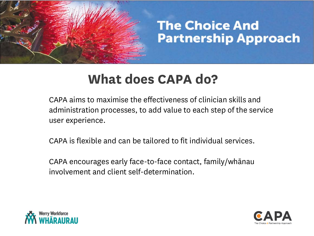#### **What does CAPA do?**

CAPA aims to maximise the effectiveness of clinician skills and administration processes, to add value to each step of the service user experience.

CAPA is flexible and can be tailored to fit individual services.

CAPA encourages early face-to-face contact, family/whānau involvement and client self-determination.



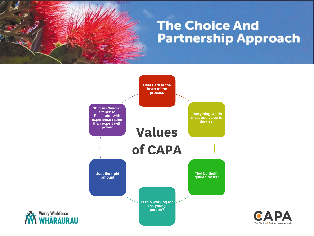

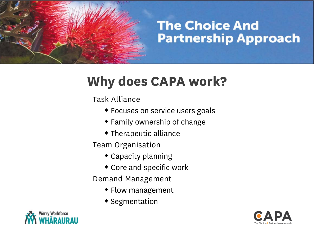#### **Why does CAPA work?**

Task Alliance

- Focuses on service users goals
- Family ownership of change
- Therapeutic alliance

Team Organisation

- Capacity planning
- Core and specific work

Demand Management

- Flow management
- **\*** Segmentation



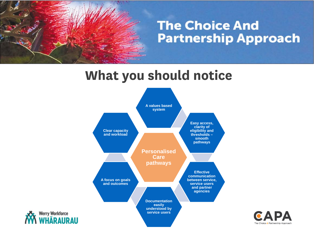#### **What you should notice**





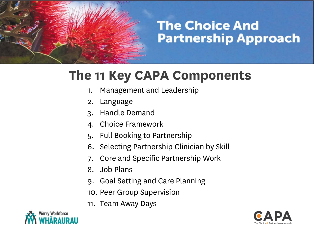#### **The 11 Key CAPA Components**

- 1. Management and Leadership
- 2. Language
- 3. Handle Demand
- 4. Choice Framework
- 5. Full Booking to Partnership
- 6. Selecting Partnership Clinician by Skill
- 7. Core and Specific Partnership Work
- 8. Job Plans
- 9. Goal Setting and Care Planning
- 10. Peer Group Supervision
- 11. Team Away Days



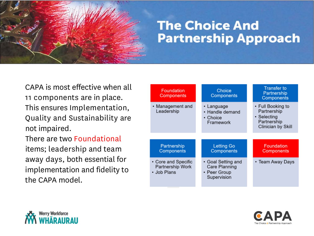CAPA is most effective when all 11 components are in place. This ensures Implementation, Quality and Sustainability are not impaired.

There are two Foundational items; leadership and team away days, both essential for implementation and fidelity to the CAPA model.

| <b>Foundation</b><br><b>Components</b> | Choice<br><b>Components</b>                            | <b>Transfer to</b><br>Partnership<br><b>Components</b>                               |
|----------------------------------------|--------------------------------------------------------|--------------------------------------------------------------------------------------|
| • Management and<br>Leadership         | • Language<br>• Handle demand<br>• Choice<br>Framework | • Full Booking to<br>Partnership<br>• Selecting<br>Partnership<br>Clinician by Skill |
|                                        |                                                        |                                                                                      |
| Partnership<br><b>Components</b>       | <b>Letting Go</b><br><b>Components</b>                 | <b>Foundation</b><br><b>Components</b>                                               |



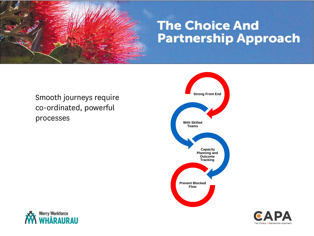

#### Smooth journeys require co-ordinated, powerful processes





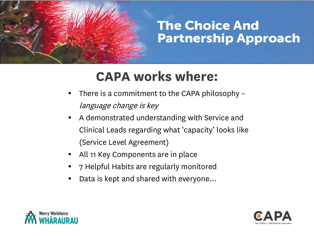#### **CAPA works where:**

- There is a commitment to the CAPA philosophy language change is key
- A demonstrated understanding with Service and Clinical Leads regarding what 'capacity' looks like (Service Level Agreement)
- All 11 Key Components are in place
- 7 Helpful Habits are regularly monitored
- Data is kept and shared with everyone…



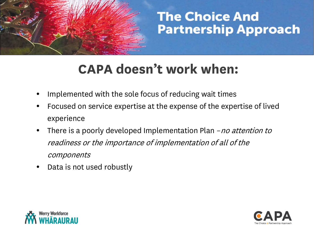#### **CAPA doesn't work when:**

- Implemented with the sole focus of reducing wait times
- Focused on service expertise at the expense of the expertise of lived experience
- There is a poorly developed Implementation Plan no attention to readiness or the importance of implementation of all of the components
- Data is not used robustly



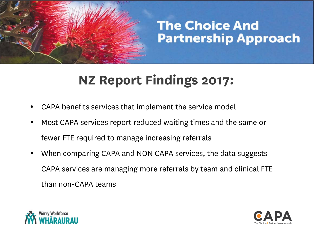### **NZ Report Findings 2017:**

- CAPA benefits services that implement the service model
- Most CAPA services report reduced waiting times and the same or fewer FTE required to manage increasing referrals
- When comparing CAPA and NON CAPA services, the data suggests CAPA services are managing more referrals by team and clinical FTE than non-CAPA teams



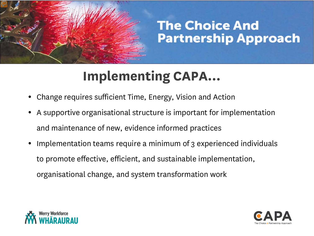### **Implementing CAPA…**

- Change requires sufficient Time, Energy, Vision and Action
- A supportive organisational structure is important for implementation and maintenance of new, evidence informed practices
- Implementation teams require a minimum of 3 experienced individuals to promote effective, efficient, and sustainable implementation, organisational change, and system transformation work



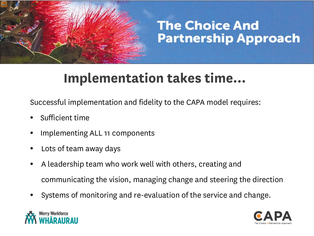### **Implementation takes time…**

Successful implementation and fidelity to the CAPA model requires:

- Sufficient time
- Implementing ALL 11 components
- Lots of team away days
- A leadership team who work well with others, creating and communicating the vision, managing change and steering the direction
- Systems of monitoring and re-evaluation of the service and change.



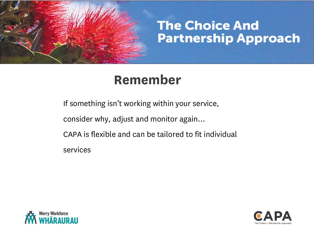

#### **Remember**

If something isn't working within your service,

consider why, adjust and monitor again…

CAPA is flexible and can be tailored to fit individual

services